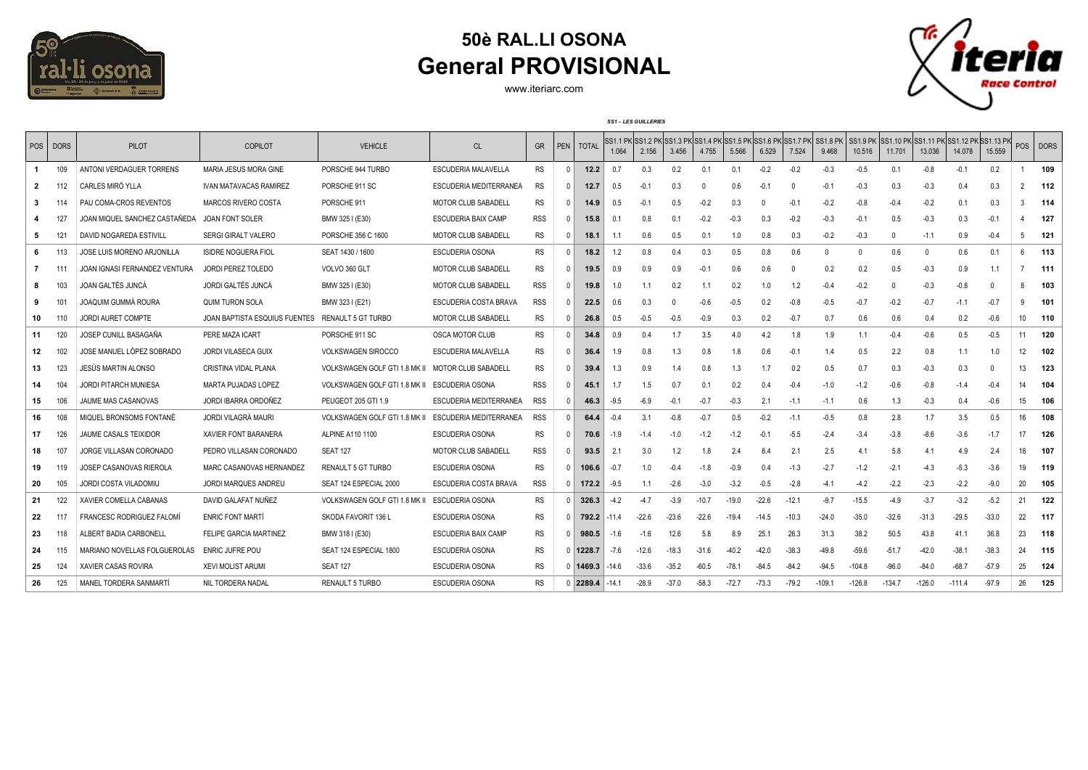

## **50è RAL.LI OSONA General PROVISIONAL**

www.iteriarc.com

*SS1 – LES GUILLERIES*



| <b>POS</b> | <b>DORS</b>     | <b>PILOT</b>                    | COPILOT                       | <b>VEHICLE</b>                | <sub>CL</sub>              | <b>GR</b>  |              | PEN   TOTAL          | 1.064  | 2.156   | 3.456   | 4.755   | 5.566   | 6.529   | SS1.1 PK SS1.2 PK SS1.3 PK SS1.4 PK SS1.5 PK SS1.6 PK SS1.7 PK SS1.8 PK<br>7.524 | 9.468    | SS1.9 PK<br>10.516 | .  SS1.10 PK SS1.11 PK SS1.12 PK SS1.13 PK <br>11.701 | 13.036   | 14.078   | 15.559  |                 | POS   DORS |
|------------|-----------------|---------------------------------|-------------------------------|-------------------------------|----------------------------|------------|--------------|----------------------|--------|---------|---------|---------|---------|---------|----------------------------------------------------------------------------------|----------|--------------------|-------------------------------------------------------|----------|----------|---------|-----------------|------------|
|            |                 |                                 |                               |                               |                            |            |              |                      |        |         |         |         |         |         |                                                                                  |          |                    |                                                       |          |          |         |                 |            |
| -1         | 109             | ANTONI VERDAGUER TORRENS        | MARIA JESUS MORA GINE         | PORSCHE 944 TURBO             | ESCUDERIA MALAVELLA        | <b>RS</b>  | $\mathbf{0}$ | 12.2                 | 0.7    | 0.3     | 0.2     | 0.1     | 0.1     | $-0.2$  | $-0.2$                                                                           | $-0.3$   | $-0.5$             | 0.1                                                   | $-0.8$   | $-0.1$   | 0.2     |                 | 109        |
| 2          | 112             | CARLES MIRÓ YLLA                | <b>IVAN MATAVACAS RAMIREZ</b> | PORSCHE 911 SC                | ESCUDERIA MEDITERRANEA     | RS         | $^{\circ}$   | 12.7                 | 0.5    | $-0.1$  | 0.3     |         | 0.6     | $-0.1$  |                                                                                  | $-0.1$   | $-0.3$             | 0.3                                                   | $-0.3$   | 0.4      | 0.3     | $\overline{2}$  | 112        |
| 3          | 114             | PAU COMA-CROS REVENTOS          | MARCOS RIVERO COSTA           | PORSCHE 911                   | MOTOR CLUB SABADELL        | <b>RS</b>  | $^{\circ}$   | 14.9                 | 0.5    | $-0.1$  | 0.5     | $-0.2$  | 0.3     | n       | $-0.1$                                                                           | $-0.2$   | $-0.8$             | $-0.4$                                                | $-0.2$   | 0.1      | 0.3     | 3               | 114        |
|            | 127             | JOAN MIQUEL SANCHEZ CASTAÑEDA   | <b>JOAN FONT SOLER</b>        | BMW 325 I (E30)               | <b>ESCUDERIA BAIX CAMP</b> | RSS        | $\mathbf{0}$ | 15.8                 | 0.1    | 0.8     | 0.1     | $-0.2$  | $-0.3$  | 0.3     | $-0.2$                                                                           | $-0.3$   | $-0.1$             | 0.5                                                   | $-0.3$   | 0.3      | $-0.1$  |                 | 127        |
| -5         | 121             | DAVID NOGAREDA ESTIVILL         | <b>SERGI GIRALT VALERO</b>    | PORSCHE 356 C 1600            | <b>MOTOR CLUB SABADELL</b> | RS         | $\Omega$     | 18.1                 | 1.1    | 0.6     | 0.5     | 0.1     | 1.0     | 0.8     | 0.3                                                                              | $-0.2$   | $-0.3$             | $\Omega$                                              | $-1.1$   | 0.9      | $-0.4$  | 5               | 121        |
| -6         | 113             | JOSE LUIS MORENO ARJONILLA      | <b>ISIDRE NOGUERA FIOL</b>    | SEAT 1430 / 1600              | ESCUDERIA OSONA            | <b>RS</b>  | $\Omega$     | 18.2                 | 1.2    | 0.8     | 0.4     | 0.3     | 0.5     | 0.8     | 0.6                                                                              |          | $\mathbf{0}$       | 0.6                                                   | $\Omega$ | 0.6      | 0.1     | 6               | 113        |
|            | -111            | JOAN IGNASI FERNANDEZ VENTURA   | JORDI PEREZ TOLEDO            | VOLVO 360 GLT                 | MOTOR CLUB SABADELL        | RS         | $^{\circ}$   | 19.5                 | 0.9    | 0.9     | 0.9     | $-0.1$  | 0.6     | 0.6     | $\Omega$                                                                         | 0.2      | 0.2                | 0.5                                                   | $-0.3$   | 0.9      | 1.1     |                 | 111        |
|            | 103             | JOAN GALTÉS JUNCÁ               | <b>JORDI GALTÉS JUNCÁ</b>     | BMW 325 I (E30)               | MOTOR CLUB SABADELL        | RSS        | $\mathbf{0}$ | 19.8                 | 1.0    |         | 0.2     | 1.1     | 0.2     | 1.0     | 1.2                                                                              | $-0.4$   | $-0.2$             |                                                       | $-0.3$   | $-0.8$   |         | 8               | 103        |
| 9          | 10 <sup>1</sup> | JOAQUIM GUMMÀ ROURA             | <b>QUIM TURON SOLA</b>        | BMW 323 I (E21)               | ESCUDERIA COSTA BRAVA      | RSS        | $\Omega$     | 22.5                 | 0.6    | 0.3     | -0      | $-0.6$  | $-0.5$  | 0.2     | $-0.8$                                                                           | $-0.5$   | $-0.7$             | $-0.2$                                                | $-0.7$   | $-1.1$   | $-0.7$  | 9               | 101        |
| 10         | 110             | <b>JORDI AURET COMPTE</b>       | JOAN BAPTISTA ESQUIUS FUENTES | RENAULT 5 GT TURBO            | <b>MOTOR CLUB SABADELL</b> | <b>RS</b>  | $\Omega$     | 26.8                 | 0.5    | $-0.5$  | $-0.5$  | $-0.9$  | 0.3     | 0.2     | $-0.7$                                                                           | 0.7      | 0.6                | 0.6                                                   | 0.4      | 0.2      | $-0.6$  | 10              | 110        |
| 11         | 120             | JOSEP CUNILL BASAGAÑA           | PERE MAZA ICART               | PORSCHE 911 SC                | OSCA MOTOR CLUB            | <b>RS</b>  | $\mathbf{0}$ | 34.8                 | 0.9    | 0.4     | 1.7     | 3.5     | 4.0     | 4.2     | 1.8                                                                              | 1.9      | 1.1                | $-0.4$                                                | $-0.6$   | 0.5      | $-0.5$  | 11              | 120        |
| 12         | 102             | JOSE MANUEL LÓPEZ SOBRADO       | JORDI VILASECA GUIX           | <b>VOLKSWAGEN SIROCCO</b>     | ESCUDERIA MALAVELLA        | <b>RS</b>  | $\Omega$     | 36.4                 | 1.9    | 0.8     | 1.3     | 0.8     | 1.8     | 0.6     | $-0.1$                                                                           | 1.4      | 0.5                | 2.2                                                   | 0.8      | 11       | 1.0     | 12 <sup>°</sup> | 102        |
| 13         | 123             | JESÚS MARTIN ALONSO             | <b>CRISTINA VIDAL PLANA</b>   | VOLKSWAGEN GOLF GTI 1.8 MK II | <b>MOTOR CLUB SABADELL</b> | <b>RS</b>  | $\mathbf{0}$ | 39.4                 | 1.3    | 0.9     | 1.4     | 0.8     | 1.3     | 17      | 0.2                                                                              | 0.5      | 0.7                | 0.3                                                   | $-0.3$   | 0.3      | - 0     | 13              | 123        |
| 14         | 104             | <b>JORDI PITARCH MUNIESA</b>    | <b>MARTA PUJADAS LOPEZ</b>    | VOLKSWAGEN GOLF GTI 1.8 MK II | ESCUDERIA OSONA            | <b>RSS</b> | $\mathbf{0}$ | 45.1                 | 1.7    | 1.5     | 0.7     | 0.1     | 0.2     | 0.4     | $-0.4$                                                                           | $-1.0$   | $-1.2$             | $-0.6$                                                | $-0.8$   | $-1.4$   | $-0.4$  | 14              | 104        |
| 15         | 106             | JAUME MAS CASANOVAS             | JORDI IBARRA ORDOÑEZ          | PEUGEOT 205 GTI 1.9           | ESCUDERIA MEDITERRANEA     | <b>RSS</b> | $\Omega$     | 46.3                 | $-9.5$ | $-6.9$  | $-0.1$  | $-0.7$  | $-0.3$  | 2.1     | $-1.1$                                                                           | $-1.1$   | 0.6                | 1.3                                                   | $-0.3$   | 0.4      | $-0.6$  | 15              | 106        |
| 16         | 108             | MIQUEL BRONSOMS FONTANE         | JORDI VILAGRÀ MAURI           | VOLKSWAGEN GOLF GTI 1.8 MK II | ESCUDERIA MEDITERRANEA     | <b>RSS</b> | $\Omega$     | 64.4                 | $-0.4$ | 3.1     | $-0.8$  | $-0.7$  | 0.5     | $-0.2$  | $-1.1$                                                                           | $-0.5$   | 0.8                | 2.8                                                   | 1.7      | 3.5      | 0.5     | 16              | 108        |
| 17         | 126             | JAUME CASALS TEIXIDOR           | <b>XAVIER FONT BARANERA</b>   | ALPINE A110 1100              | <b>ESCUDERIA OSONA</b>     | <b>RS</b>  | $^{\circ}$   | 70.6                 | $-1.9$ | -1.4    | $-1.0$  | $-1.2$  | $-1.2$  | $-0.1$  | $-5.5$                                                                           | $-2.4$   | $-3.4$             | $-3.8$                                                | $-8.6$   | $-3.6$   | $-1.7$  | 17              | 126        |
| 18         | 107             | JORGE VILLASAN CORONADO         | PEDRO VILLASAN CORONADO       | <b>SEAT 127</b>               | <b>MOTOR CLUB SABADELL</b> | <b>RSS</b> | $\mathbf{0}$ | 93.5                 | 2.1    | 3.0     | 1.2     | 1.8     | 2.4     | 8.4     | 2.1                                                                              | 2.5      | 4.1                | 5.8                                                   | 4.1      | 4.9      | 2.4     | 18              | 107        |
| 19         | 119             | JOSEP CASANOVAS RIEROLA         | MARC CASANOVAS HERNANDEZ      | <b>RENAULT 5 GT TURBO</b>     | ESCUDERIA OSONA            | <b>RS</b>  |              | $0$   106.6          | $-0.7$ | 1.0     | $-0.4$  | $-1.8$  | $-0.9$  | 0.4     | $-1.3$                                                                           | $-2.7$   | $-1.2$             | $-2.1$                                                | $-4.3$   | $-5.3$   | $-3.6$  | 19              | 119        |
| 20         | 105             | JORDI COSTA VILADOMIU           | JORDI MARQUES ANDREU          | SEAT 124 ESPECIAL 2000        | ESCUDERIA COSTA BRAVA      | <b>RSS</b> |              | $0$ 172.2            | $-9.5$ | 1.1     | $-2.6$  | $-3.0$  | $-3.2$  | $-0.5$  | $-2.8$                                                                           | $-4.1$   | $-4.2$             | $-2.2$                                                | $-2.3$   | $-2.2$   | $-9.0$  | 20              | 105        |
| 21         | 122             | XAVIER COMELLA CABANAS          | DAVID GALAFAT NUÑEZ           | VOLKSWAGEN GOLF GTI 1.8 MK    | <b>ESCUDERIA OSONA</b>     | <b>RS</b>  |              | $0 \mid 326.3$       | $-4.2$ | $-4.7$  | $-3.9$  | $-10.7$ | $-19.0$ | $-22.6$ | $-12.1$                                                                          | $-9.7$   | $-15.5$            | $-4.9$                                                | $-3.7$   | $-3.2$   | $-5.2$  | 21              | 122        |
| 22         | 117             | <b>FRANCESC RODRIGUEZ FALOM</b> | <b>ENRIC FONT MARTÍ</b>       | SKODA FAVORIT 136 L           | ESCUDERIA OSONA            | <b>RS</b>  |              | $0$   792.2   -11.4  |        | $-22.6$ | $-23.6$ | $-22.6$ | $-19.4$ | $-14.5$ | $-10.3$                                                                          | $-24.0$  | $-35.0$            | $-32.6$                                               | $-31.3$  | $-29.5$  | $-33.0$ | 22              | 117        |
| 23         | 118             | ALBERT BADIA CARBONELL          | <b>FELIPE GARCIA MARTINEZ</b> | BMW 318 I (E30)               | <b>ESCUDERIA BAIX CAMP</b> | <b>RS</b>  |              | $0$ 980.5            | $-1.6$ | $-1.6$  | 12.6    | 5.8     | 8.9     | 25.1    | 26.3                                                                             | 31.3     | 38.2               | 50.5                                                  | 43.8     | 411      | 36.8    | 23              | 118        |
| 24         | 115             | MARIANO NOVELLAS FOLGUEROLAS    | <b>ENRIC JUFRE POU</b>        | SEAT 124 ESPECIAL 1800        | <b>ESCUDERIA OSONA</b>     | RS         |              | $0$ 1228.7           | $-7.6$ | $-12.6$ | $-18.3$ | $-31.6$ | $-40.2$ | $-42.0$ | $-38.3$                                                                          | $-49.8$  | $-59.6$            | $-51.7$                                               | $-42.0$  | $-38.1$  | $-38.3$ | 24              | 115        |
| 25         | 124             | XAVIER CASAS ROVIRA             | <b>XEVI MOLIST ARUMI</b>      | <b>SEAT 127</b>               | ESCUDERIA OSONA            | <b>RS</b>  |              | $0$   1469.3   -14.6 |        | $-33.6$ | $-35.2$ | $-60.5$ | $-78.1$ | $-84.5$ | $-84.2$                                                                          | $-94.5$  | $-104.8$           | $-96.0$                                               | $-84.0$  | $-68.7$  | $-57.9$ | 25              | 124        |
| 26         | 125             | MANEL TORDERA SANMARTÍ          | NIL TORDERA NADAL             | <b>RENAULT 5 TURBO</b>        | <b>ESCUDERIA OSONA</b>     | RS         |              | $0$ 2289.4 -14.1     |        | $-28.9$ | $-37.0$ | $-58.3$ | $-72.7$ | $-73.3$ | $-79.2$                                                                          | $-109.1$ | $-126.8$           | $-134.7$                                              | $-126.0$ | $-111.4$ | $-97.9$ | 26              | 125        |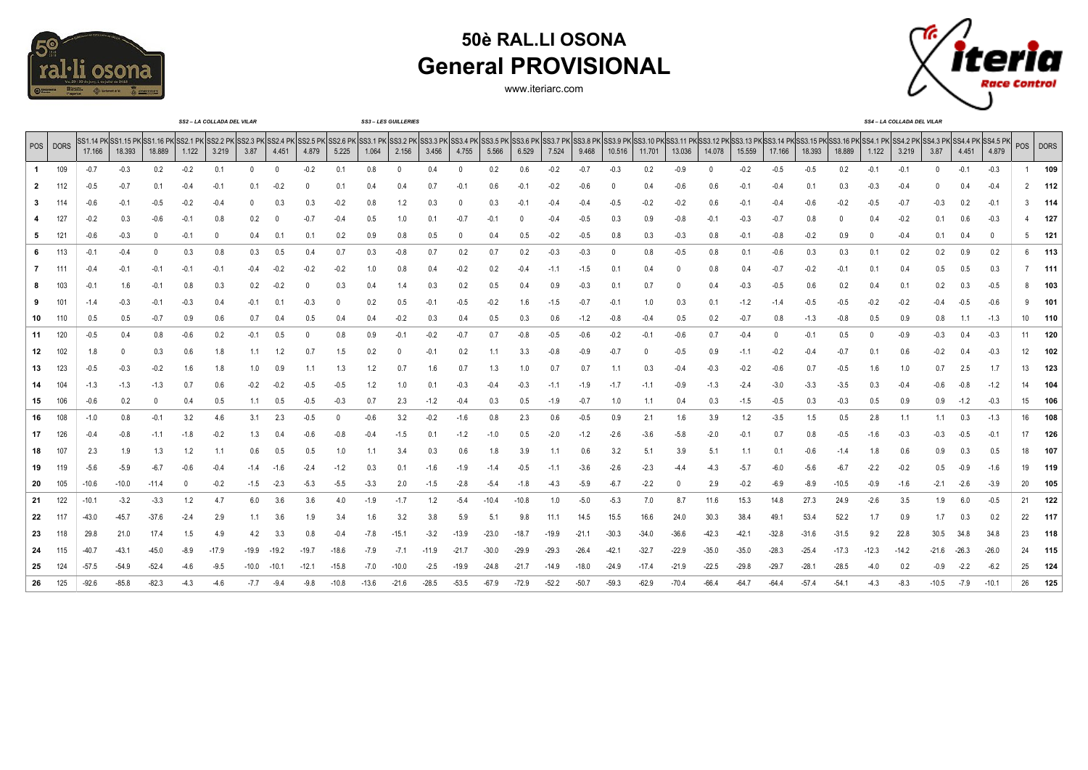

## **50è RAL.LI OSONA General PROVISIONAL**

www.iteriarc.com



|    |          |         |         |         |        | SS2 - LA COLLADA DEL VILAR                                                                                                                                                                                                              |          |         |        |        |        | <b>SS3-LES GUILLERIES</b> |         |         |         |         |         |         |         |         |         |         |         |         |         |         |        | SS4-LA COLLADA DEL VILAR |        |         |         |     |             |
|----|----------|---------|---------|---------|--------|-----------------------------------------------------------------------------------------------------------------------------------------------------------------------------------------------------------------------------------------|----------|---------|--------|--------|--------|---------------------------|---------|---------|---------|---------|---------|---------|---------|---------|---------|---------|---------|---------|---------|---------|--------|--------------------------|--------|---------|---------|-----|-------------|
|    | POS DORS | 17.166  | 18.393  | 18.889  | 1.122  | SS1.14 PKSS1.15 PKSS1.16 PKSS2.1 PKSS2.2 PKSS2.3 PKSS2.4 PKSS2.4 PKSS2.5 PKSS3.1 PKSS3.1 PKSS3.2 PKSS3.2 PKSS3.3 PKSS3.4 PKSS3.5 PKSS3.5 PKSS3.1 PKSS3.1 PKSS3.1 PKSS3.1 PKSS3.1 PKSS3.1 PKSS3.1 PKSS3.1 PKSS3.1 PKSS3.10 PKSS<br>3.219 | 3.87     | 4.451   | 4.879  | 5.225  | 1.064  | 2.156                     | 3.456   | 4.755   | 5.566   | 6.529   | 7.524   | 9.468   | 10.516  | 11.701  | 13.036  | 14.078  | 15.559  | 17.166  | 18.393  | 18.889  | 1.122  | 3.219                    | 3.87   | 4.451   | 4.879   | POS | <b>DORS</b> |
|    | 109      | $-0.7$  | $-0.3$  | 0.2     | $-0.2$ | 0.1                                                                                                                                                                                                                                     | $\Omega$ |         | $-0.2$ | 0.1    | 0.8    |                           | 0.4     |         | 0.2     | 0.6     | $-0.2$  | $-0.7$  | $-0.3$  | 0.2     | $-0.9$  |         | $-0.2$  | $-0.5$  | $-0.5$  | 0.2     | $-0.1$ | $-0.1$                   |        | $-0.1$  | $-0.3$  |     | 109         |
| 2  | 112      | $-0.5$  | $-0.7$  | 0.1     | -0.4   | $-0.1$                                                                                                                                                                                                                                  | 0.1      | -0.2    | -0     | 0.1    | 0.4    | 0.4                       | 0.7     | $-0.2$  | 0.6     | $-0.2$  | $-0.2$  | $-0.6$  |         | 0.4     | $-0.6$  | 0.6     | $-0.1$  | $-0.4$  | 0.1     | 0.3     | $-0.3$ | $-0.4$                   |        |         | $-0.4$  |     | 112         |
| 3  | -114     | $-0.6$  | $-0.1$  | $-0.5$  | -0.2   | $-0.4$                                                                                                                                                                                                                                  | $\Omega$ | 0.3     | 0.3    | $-0.2$ | 0.8    | 1.2                       | 0.3     | 0       | 0.3     | $-0.2$  | $-0.4$  | $-0.4$  | $-0.5$  | $-0.2$  | $-0.2$  | 0.6     | $-0.1$  | $-0.4$  | $-0.6$  | $-0.2$  | $-0.5$ | $-0.7$                   | $-0.3$ | 0.2     | $-0.1$  | 3   | 114         |
|    | 127      | $-0.2$  | 0.3     | -0.6    | $-0.1$ | 0.8                                                                                                                                                                                                                                     | 0.2      |         | -0.7   | $-0.4$ | 0.5    | 1.0                       | 0.1     | $-0.7$  | $-0.1$  | 0       | $-0.4$  | $-0.5$  | 0.3     | 0.9     | $-0.8$  | -0.1    | $-0.3$  | $-0.7$  | 0.8     | 0       | 0.4    | $-0.2$                   | 0.1    | 0.6     | $-0.3$  |     | 127         |
| 5. | 121      | $-0.6$  | $-0.3$  |         | $-0.1$ | 0                                                                                                                                                                                                                                       | 0.4      | 0.1     | 0.1    | 0.2    | 0.9    | 0.8                       | 0.5     | 0       | 0.4     | 0.5     | $-0.2$  | $-0.5$  | 0.8     | 0.3     | $-0.3$  | 0.8     | $-0.1$  | $-0.8$  | $-0.2$  | 0.9     |        | $-0.4$                   | 0.1    |         | 0       | 5   | 121         |
| 6  | 113      | $-0.1$  | $-0.4$  |         | 0.3    | 0.8                                                                                                                                                                                                                                     | 0.3      | 0.5     | 0.4    | 0.7    | 0.3    | $-0.8$                    | 0.7     | 0.2     | 0.7     | 0.2     | $-0.3$  | $-0.3$  |         | 0.8     | $-0.5$  | 0.8     | 0.1     | $-0.6$  | 0.3     | 0.3     | 0.1    | 0.2                      | 0.2    | 0.9     | 0.2     | -6  | 113         |
| 7  | - 111    | $-0.4$  | $-0.1$  | $-0.1$  | $-0.1$ | $-0.1$                                                                                                                                                                                                                                  | -0.4     | -0.2    | $-0.2$ | $-0.2$ | 1.0    | 0.8                       | 0.4     | $-0.2$  | 0.2     | $-0.4$  | $-1.1$  | $-1.5$  | 0.1     | 0.4     | 0       | 0.8     | 0.4     | $-0.7$  | $-0.2$  | $-0.1$  | 0.1    | 0.4                      | 0.5    | 0.5     | 0.3     |     | 111         |
| 8  | 103      | $-0.1$  | 1.6     | $-0.1$  | 0.8    | 0.3                                                                                                                                                                                                                                     | 0.2      | $-0.2$  | -0     | 0.3    | 0.4    | 1.4                       | 0.3     | 0.2     | 0.5     | 0.4     | 0.9     | $-0.3$  | 0.1     | 0.7     |         | 0.4     | $-0.3$  | $-0.5$  | 0.6     | 0.2     | 0.4    | 0.1                      | 0.2    |         | $-0.5$  |     | 103         |
| 9  | 101      | -1.4    | $-0.3$  | $-0.1$  | -0.3   | 0.4                                                                                                                                                                                                                                     | -0.1     | 0.1     | $-0.3$ |        | 0.2    | 0.5                       | $-0.1$  | $-0.5$  | -0.2    | 1.6     | $-1.5$  | $-0.7$  | $-0.1$  | 1.0     | 0.3     | 0.1     | $-1.2$  | $-1.4$  | $-0.5$  | $-0.5$  | $-0.2$ | $-0.2$                   | $-0.4$ | $-0.5$  | $-0.6$  |     | 101         |
| 10 | 110      | 0.5     | 0.5     | $-0.7$  | 0.9    | 0.6                                                                                                                                                                                                                                     | 0.7      | 0.4     | 0.5    | 0.4    | 0.4    | $-0.2$                    | 0.3     | 0.4     | 0.5     | 0.3     | 0.6     | $-1.2$  | $-0.8$  | $-0.4$  | 0.5     | 0.2     | $-0.7$  | 0.8     | $-1.3$  | $-0.8$  | 0.5    | 0.9                      | 0.8    | 1.1     | $-1.3$  | 10  | 110         |
| 11 | 120      | $-0.5$  | 0.4     | 0.8     | -0.6   | 0.2                                                                                                                                                                                                                                     | -0.1     | 0.5     | -0     | 0.8    | 0.9    | $-0.2$                    | $-0.2$  | $-0.7$  | 0.7     | $-0.8$  | $-0.5$  | $-0.6$  | $-0.2$  | $-0.1$  | -0.6    | 0.7     | $-0.4$  |         | $-0.1$  | 0.5     |        | $-0.9$                   | $-0.3$ | 0.4     | $-0.3$  | 11  | 120         |
| 12 | 102      | 1.8     |         | 0.3     | 0.6    | 1.8                                                                                                                                                                                                                                     | 1.1      | 1.2     | 0.7    | 1.5    | 0.2    |                           | $-0.1$  | 0.2     | 1.1     | 3.3     | $-0.8$  | $-0.9$  | $-0.7$  | 0       | $-0.5$  | 0.9     | $-1.1$  | $-0.2$  | $-0.4$  | $-0.7$  | 0.1    | 0.6                      | $-0.2$ | 0.4     | $-0.3$  | 12  | 102         |
| 13 | 123      | $-0.5$  | $-0.3$  | $-0.2$  | 1.6    | 1.8                                                                                                                                                                                                                                     | 1.0      | 0.9     |        | 1.3    | 1.2    | 0.7                       | 1.6     | 0.7     | 1.3     | 1.0     | 0.7     | 0.7     |         | 0.3     | $-0.4$  | $-0.3$  | $-0.2$  | -0.6    | 0.7     | $-0.5$  | 1.6    | 1.0                      | 0.7    | 2.5     | 1.7     | 13  | 123         |
| 14 | 104      | $-1.3$  | $-1.3$  | -1.3    | 0.7    | 0.6                                                                                                                                                                                                                                     | $-0.2$   | -0.2    | $-0.5$ | $-0.5$ | 1.2    |                           | 0.      | $-0.3$  | -0.4    | $-0.3$  | $-1.7$  | $-1.9$  | $-1.7$  | -1.1    | -0.9    | -1.3    | $-2.4$  | $-3.0$  | $-3.3$  | $-3.5$  | 0.3    | $-0.4$                   | $-0.6$ |         | $-1.2$  | 14  | 104         |
| 15 | 106      | $-0.6$  | 0.2     |         | 0.4    | 0.5                                                                                                                                                                                                                                     | 1.1      | 0.5     | $-0.5$ | $-0.3$ | 0.7    | 2.3                       | $-1.2$  | $-0.4$  | 0.3     | 0.5     | $-1.9$  | $-0.7$  | 1.0     | 1.1     | 0.4     | 0.3     | $-1.5$  | $-0.5$  | 0.3     | $-0.3$  | 0.5    | 0.9                      | 0.9    | $-1.2$  | $-0.3$  | 15  | 106         |
| 16 | 108      | $-1.0$  | 0.8     | $-0.1$  | 3.2    | 4.6                                                                                                                                                                                                                                     | 3.1      | 2.3     | $-0.5$ |        | $-0.6$ | 3.2                       | $-0.2$  | $-1.6$  | 0.8     | 2.3     | 0.6     | $-0.5$  | 0.9     | 2.1     | 1.6     | 3.9     | 1.2     | $-3.5$  | 1.5     | 0.5     | 2.8    | 1.1                      | 1.1    | 0.3     | $-1.3$  | 16  | 108         |
| 17 | 126      | $-0.4$  | $-0.8$  | $-1.1$  | $-1.8$ | $-0.2$                                                                                                                                                                                                                                  | 1.3      | 0.4     | $-0.6$ | $-0.8$ | $-0.4$ | $-1.5$                    | 0.1     | $-1.2$  | $-1.0$  | 0.5     | $-2.0$  | $-1.2$  | $-2.6$  | $-3.6$  | $-5.8$  | $-2.0$  | $-0.1$  | $0$ .   | 0.8     | $-0.5$  | $-1.6$ | $-0.3$                   | $-0.3$ | $-0.5$  | $-0.1$  | 17  | 126         |
| 18 | 107      | 2.3     | 1.9     | 1.3     | 1.2    | 1.1                                                                                                                                                                                                                                     | 0.6      | 0.5     | 0.5    | 1.0    | 1.1    | 3.4                       | 0.3     | 0.6     | 1.8     | 3.9     |         | 0.6     | 3.2     | 5.1     | 3.9     | 5.1     | 1.1     | 0.1     | $-0.6$  | $-1.4$  | 1.8    | 0.6                      | 0.9    | 0.3     | 0.5     | 18  | 107         |
| 19 | 119      | $-5.6$  | $-5.9$  | $-6.7$  | -0.6   | $-0.4$                                                                                                                                                                                                                                  | -1.4     | -1.6    | -2.4   | $-1.2$ | 0.3    | 0.1                       | $-1.6$  | -1.9    | -1.4    | $-0.5$  | $-1.1$  | $-3.6$  | $-2.6$  | $-2.3$  | -4.4    | -4.3    | $-5.7$  | -6.0    | $-5.6$  | $-6.7$  | $-2.2$ | $-0.2$                   | 0.5    | $-0.9$  | $-1.6$  | 19  | 119         |
| 20 | 105      | $-10.6$ | $-10.0$ | $-11.4$ | 0      | $-0.2$                                                                                                                                                                                                                                  | $-1.5$   | $-2.3$  | $-5.3$ | $-5.5$ | $-3.3$ | 2.0                       | $-1.5$  | $-2.8$  | $-5.4$  | $-1.8$  | $-4.3$  | $-5.9$  | $-6.7$  | $-2.2$  | O       | 2.9     | $-0.2$  | $-6.9$  | $-8.9$  | $-10.5$ | $-0.9$ | $-1.6$                   | $-2.1$ | $-2.6$  | $-3.9$  | 20  | 105         |
| 21 | 122      | $-10.1$ | $-3.2$  | $-3.3$  | 1.2    | 4.7                                                                                                                                                                                                                                     | 6.0      | 3.6     | 3.6    | 4.0    | $-1.9$ | $-1.7$                    | 1.2     | $-5.4$  | $-10.4$ | $-10.8$ | 1.0     | -5.0    | $-5.3$  | 7.0     | 8.7     | 11.6    | 15.3    | 14.8    | 27.3    | 24.9    | $-2.6$ | 3.5                      | 1.9    | 6.0     | $-0.5$  | 21  | 122         |
| 22 | -117     | -43.0   | -45.7   | $-37.6$ | -2.4   | 2.9                                                                                                                                                                                                                                     | 1.1      | 3.6     | 1.9    | 3.4    | 1.6    | 3.2                       | 3.8     | 5.9     | 5.1     | 9.8     | 11.1    | 14.5    | 15.5    | 16.6    | 24.0    | 30.3    | 38.4    | 49.1    | 53.4    | 52.2    | 1.7    | 0.9                      | 1.7    | 0.3     | 0.2     | 22  | 117         |
| 23 | 118      | 29.8    | 21.0    | 17.4    | 1.5    | 4.9                                                                                                                                                                                                                                     | 4.2      | 3.3     | 0.8    | $-0.4$ | -7.8   | $-15.7$                   | $-3.2$  | $-13.9$ | $-23.0$ | $-18.7$ | $-19.9$ | $-21.1$ | $-30.3$ | $-34.0$ | $-36.6$ | $-42.3$ | $-42.1$ | $-32.8$ | $-31.6$ | $-31.5$ | 9.2    | 22.8                     | 30.5   | 34.8    | 34.8    | 23  | 118         |
| 24 | 115      |         | $-43.$  |         |        |                                                                                                                                                                                                                                         | -19.9    | $-19.2$ | -19.   |        |        | -7.1                      | $-11.9$ | -21.7   | -30.0   |         | $-29.3$ | -26.4   |         | -32.7   | -22.9   | $-35.0$ | $-35.0$ | -28.3   | $-25.4$ | $-17.3$ | -12.3  | $-14.2$                  | -21.6  | $-26.3$ | $-26.0$ | 24  | 115         |

**25** 124 -57.5 -54.9 -52.4 -4.6 -9.5 -10.0 -10.1 -12.1 -15.8 -7.0 -10.0 -2.5 -19.9 -24.8 -21.7 -14.9 -18.0 -24.9 -17.4 -21.9 -22.5 -29.8 -29.7 -28.1 -28.5 -4.0 0.2 -0.9 -2.2 -6.2 25 **124 26** 125 -92.6 -85.8 -82.3 -4.3 -4.6 -7.7 -9.4 -9.8 -10.8 -13.6 -21.6 -28.5 -53.5 -67.9 -72.9 -52.2 -50.7 -59.3 -62.9 -70.4 -66.4 -64.7 -64.4 -57.4 -54.1 -4.3 -8.3 -10.5 -7.9 -10.1 26 **125**